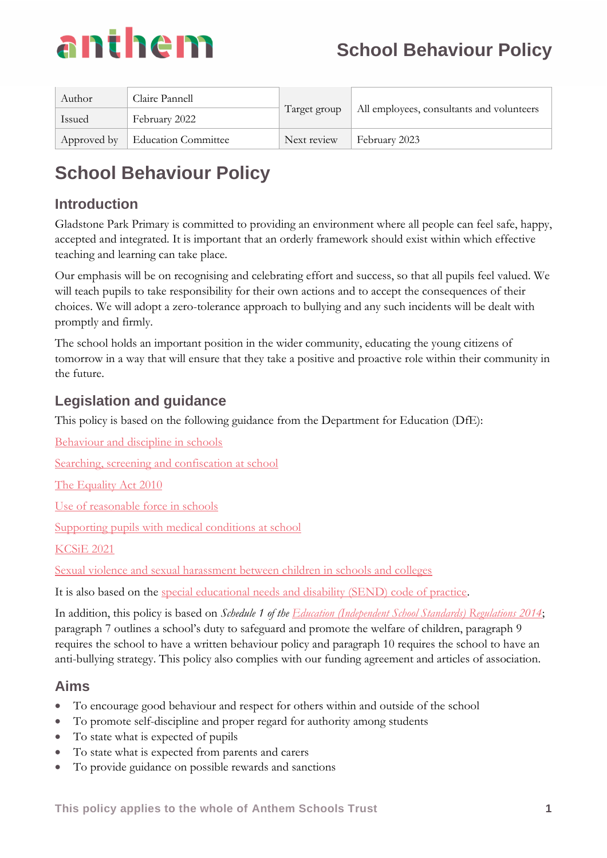

| Author        | Claire Pannell                    |              | All employees, consultants and volunteers |  |
|---------------|-----------------------------------|--------------|-------------------------------------------|--|
| <b>Issued</b> | February 2022                     | Target group |                                           |  |
|               | Approved by   Education Committee | Next review  | February 2023                             |  |

## **Introduction**

Gladstone Park Primary is committed to providing an environment where all people can feel safe, happy, accepted and integrated. It is important that an orderly framework should exist within which effective teaching and learning can take place.

Our emphasis will be on recognising and celebrating effort and success, so that all pupils feel valued. We will teach pupils to take responsibility for their own actions and to accept the consequences of their choices. We will adopt a zero-tolerance approach to bullying and any such incidents will be dealt with promptly and firmly.

The school holds an important position in the wider community, educating the young citizens of tomorrow in a way that will ensure that they take a positive and proactive role within their community in the future.

## **Legislation and guidance**

This policy is based on the following guidance from the Department for Education (DfE):

[Behaviour and discipline in schools](https://www.gov.uk/government/publications/behaviour-and-discipline-in-schools)

[Searching, screening and confiscation at school](https://www.gov.uk/government/publications/searching-screening-and-confiscation)

[The Equality Act](https://www.gov.uk/government/publications/equality-act-2010-advice-for-schools) 2010

[Use of reasonable force in schools](https://www.gov.uk/government/publications/use-of-reasonable-force-in-schools)

[Supporting pupils with medical conditions at school](https://www.gov.uk/government/publications/supporting-pupils-at-school-with-medical-conditions--3)

[KCSiE 2021](https://www.gov.uk/government/publications/keeping-children-safe-in-education--2)

Sexual violence and sexual harassment between children in schools and colleges

It is also based on the [special educational needs and disability \(SEND\) code of practice.](https://www.gov.uk/government/publications/send-code-of-practice-0-to-25)

In addition, this policy is based on *Schedule 1 of the [Education \(Independent School Standards\) Regulations 2014](http://www.legislation.gov.uk/uksi/2014/3283/schedule/made)*; paragraph 7 outlines a school's duty to safeguard and promote the welfare of children, paragraph 9 requires the school to have a written behaviour policy and paragraph 10 requires the school to have an anti-bullying strategy. This policy also complies with our funding agreement and articles of association.

## **Aims**

- To encourage good behaviour and respect for others within and outside of the school
- To promote self-discipline and proper regard for authority among students
- To state what is expected of pupils
- To state what is expected from parents and carers
- To provide guidance on possible rewards and sanctions

**This policy applies to the whole of Anthem Schools Trust 1**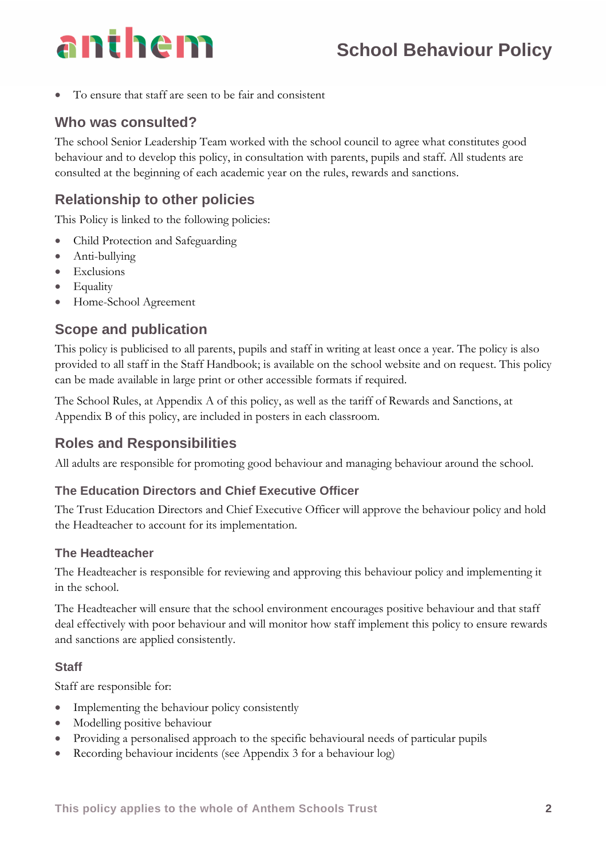

• To ensure that staff are seen to be fair and consistent

### **Who was consulted?**

The school Senior Leadership Team worked with the school council to agree what constitutes good behaviour and to develop this policy, in consultation with parents, pupils and staff. All students are consulted at the beginning of each academic year on the rules, rewards and sanctions.

## **Relationship to other policies**

This Policy is linked to the following policies:

- Child Protection and Safeguarding
- Anti-bullying
- Exclusions
- Equality
- Home-School Agreement

### **Scope and publication**

This policy is publicised to all parents, pupils and staff in writing at least once a year. The policy is also provided to all staff in the Staff Handbook; is available on the school website and on request. This policy can be made available in large print or other accessible formats if required.

The School Rules, at Appendix A of this policy, as well as the tariff of Rewards and Sanctions, at Appendix B of this policy, are included in posters in each classroom.

### **Roles and Responsibilities**

All adults are responsible for promoting good behaviour and managing behaviour around the school.

#### **The Education Directors and Chief Executive Officer**

The Trust Education Directors and Chief Executive Officer will approve the behaviour policy and hold the Headteacher to account for its implementation.

#### **The Headteacher**

The Headteacher is responsible for reviewing and approving this behaviour policy and implementing it in the school.

The Headteacher will ensure that the school environment encourages positive behaviour and that staff deal effectively with poor behaviour and will monitor how staff implement this policy to ensure rewards and sanctions are applied consistently.

#### **Staff**

Staff are responsible for:

- Implementing the behaviour policy consistently
- Modelling positive behaviour
- Providing a personalised approach to the specific behavioural needs of particular pupils
- Recording behaviour incidents (see Appendix 3 for a behaviour log)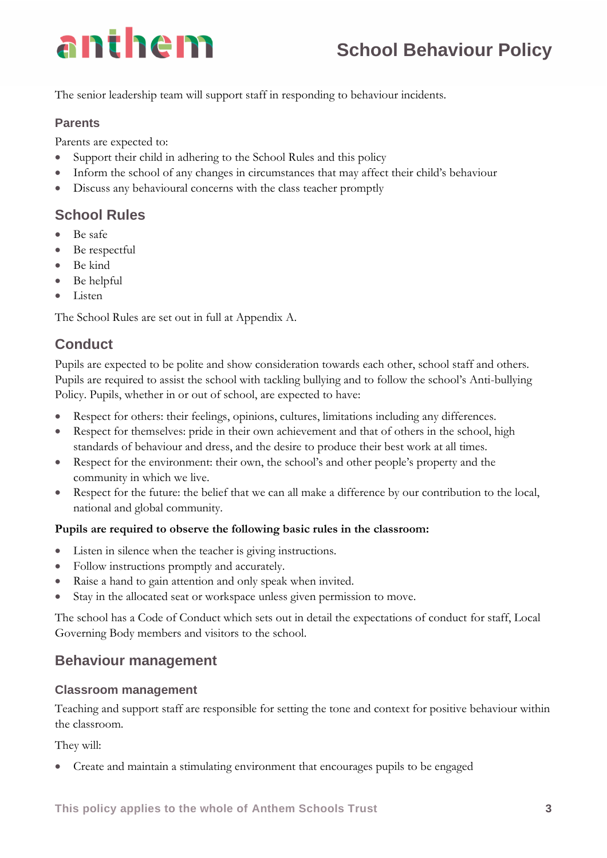

The senior leadership team will support staff in responding to behaviour incidents.

#### **Parents**

Parents are expected to:

- Support their child in adhering to the School Rules and this policy
- Inform the school of any changes in circumstances that may affect their child's behaviour
- Discuss any behavioural concerns with the class teacher promptly

### **School Rules**

- Be safe
- Be respectful
- Be kind
- Be helpful
- Listen

The School Rules are set out in full at Appendix A.

## **Conduct**

Pupils are expected to be polite and show consideration towards each other, school staff and others. Pupils are required to assist the school with tackling bullying and to follow the school's Anti-bullying Policy. Pupils, whether in or out of school, are expected to have:

- Respect for others: their feelings, opinions, cultures, limitations including any differences.
- Respect for themselves: pride in their own achievement and that of others in the school, high standards of behaviour and dress, and the desire to produce their best work at all times.
- Respect for the environment: their own, the school's and other people's property and the community in which we live.
- Respect for the future: the belief that we can all make a difference by our contribution to the local, national and global community.

#### **Pupils are required to observe the following basic rules in the classroom:**

- Listen in silence when the teacher is giving instructions.
- Follow instructions promptly and accurately.
- Raise a hand to gain attention and only speak when invited.
- Stay in the allocated seat or workspace unless given permission to move.

The school has a Code of Conduct which sets out in detail the expectations of conduct for staff, Local Governing Body members and visitors to the school.

### **Behaviour management**

#### **Classroom management**

Teaching and support staff are responsible for setting the tone and context for positive behaviour within the classroom.

They will:

• Create and maintain a stimulating environment that encourages pupils to be engaged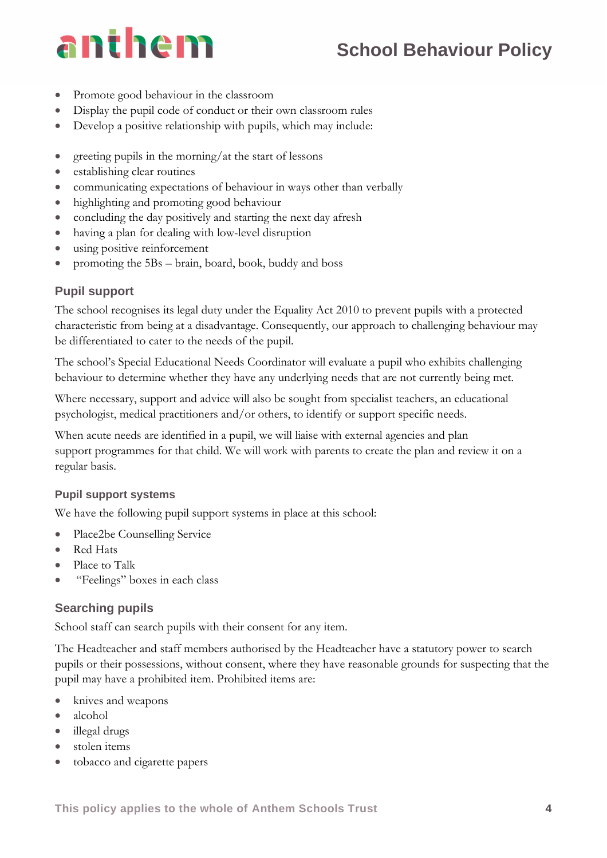- Promote good behaviour in the classroom
- Display the pupil code of conduct or their own classroom rules
- Develop a positive relationship with pupils, which may include:
- greeting pupils in the morning/at the start of lessons
- establishing clear routines
- communicating expectations of behaviour in ways other than verbally
- highlighting and promoting good behaviour
- concluding the day positively and starting the next day afresh
- having a plan for dealing with low-level disruption
- using positive reinforcement
- promoting the 5Bs brain, board, book, buddy and boss

### **Pupil support**

The school recognises its legal duty under the Equality Act 2010 to prevent pupils with a protected characteristic from being at a disadvantage. Consequently, our approach to challenging behaviour may be differentiated to cater to the needs of the pupil.

The school's Special Educational Needs Coordinator will evaluate a pupil who exhibits challenging behaviour to determine whether they have any underlying needs that are not currently being met.

Where necessary, support and advice will also be sought from specialist teachers, an educational psychologist, medical practitioners and/or others, to identify or support specific needs.

When acute needs are identified in a pupil, we will liaise with external agencies and plan support programmes for that child. We will work with parents to create the plan and review it on a regular basis.

### **Pupil support systems**

We have the following pupil support systems in place at this school:

- Place2be Counselling Service
- Red Hats
- Place to Talk
- "Feelings" boxes in each class

### **Searching pupils**

School staff can search pupils with their consent for any item.

The Headteacher and staff members authorised by the Headteacher have a statutory power to search pupils or their possessions, without consent, where they have reasonable grounds for suspecting that the pupil may have a prohibited item. Prohibited items are:

- knives and weapons
- alcohol
- illegal drugs
- stolen items
- tobacco and cigarette papers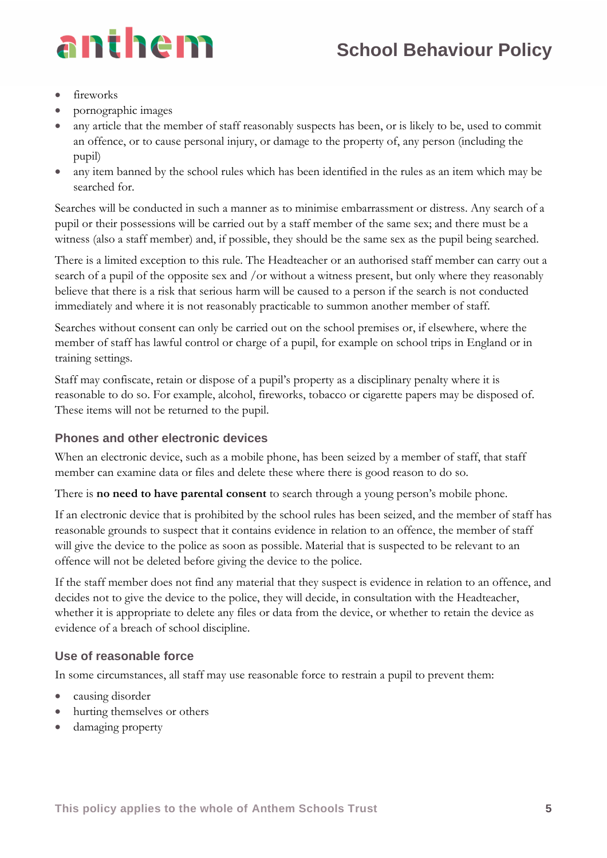

- fireworks
- pornographic images
- any article that the member of staff reasonably suspects has been, or is likely to be, used to commit an offence, or to cause personal injury, or damage to the property of, any person (including the pupil)
- any item banned by the school rules which has been identified in the rules as an item which may be searched for.

Searches will be conducted in such a manner as to minimise embarrassment or distress. Any search of a pupil or their possessions will be carried out by a staff member of the same sex; and there must be a witness (also a staff member) and, if possible, they should be the same sex as the pupil being searched.

There is a limited exception to this rule. The Headteacher or an authorised staff member can carry out a search of a pupil of the opposite sex and /or without a witness present, but only where they reasonably believe that there is a risk that serious harm will be caused to a person if the search is not conducted immediately and where it is not reasonably practicable to summon another member of staff.

Searches without consent can only be carried out on the school premises or, if elsewhere, where the member of staff has lawful control or charge of a pupil, for example on school trips in England or in training settings.

Staff may confiscate, retain or dispose of a pupil's property as a disciplinary penalty where it is reasonable to do so. For example, alcohol, fireworks, tobacco or cigarette papers may be disposed of. These items will not be returned to the pupil.

### **Phones and other electronic devices**

When an electronic device, such as a mobile phone, has been seized by a member of staff, that staff member can examine data or files and delete these where there is good reason to do so.

There is **no need to have parental consent** to search through a young person's mobile phone.

If an electronic device that is prohibited by the school rules has been seized, and the member of staff has reasonable grounds to suspect that it contains evidence in relation to an offence, the member of staff will give the device to the police as soon as possible. Material that is suspected to be relevant to an offence will not be deleted before giving the device to the police.

If the staff member does not find any material that they suspect is evidence in relation to an offence, and decides not to give the device to the police, they will decide, in consultation with the Headteacher, whether it is appropriate to delete any files or data from the device, or whether to retain the device as evidence of a breach of school discipline.

### **Use of reasonable force**

In some circumstances, all staff may use reasonable force to restrain a pupil to prevent them:

- causing disorder
- hurting themselves or others
- damaging property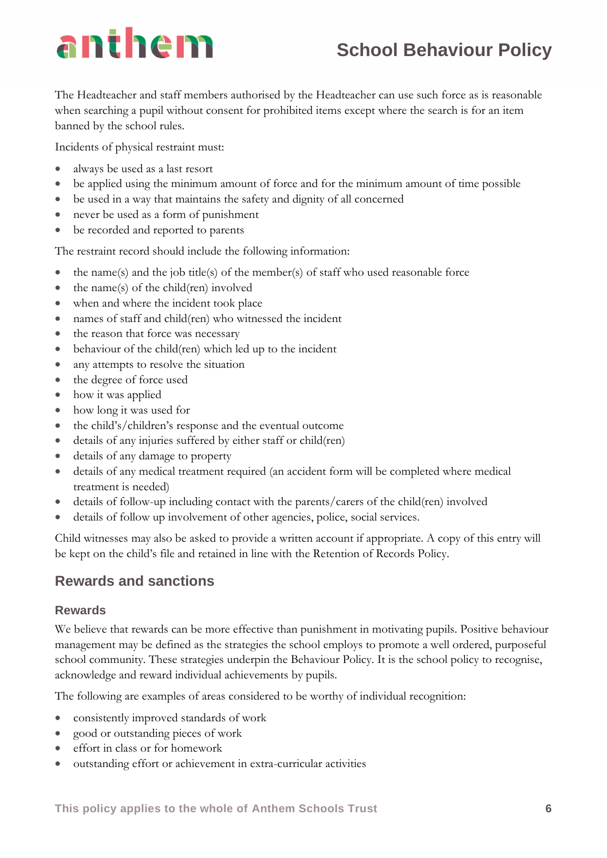## **School Behaviour Policy**

The Headteacher and staff members authorised by the Headteacher can use such force as is reasonable when searching a pupil without consent for prohibited items except where the search is for an item banned by the school rules.

Incidents of physical restraint must:

- always be used as a last resort
- be applied using the minimum amount of force and for the minimum amount of time possible
- be used in a way that maintains the safety and dignity of all concerned
- never be used as a form of punishment
- be recorded and reported to parents

The restraint record should include the following information:

- $\bullet$  the name(s) and the job title(s) of the member(s) of staff who used reasonable force
- the name(s) of the child(ren) involved
- when and where the incident took place
- names of staff and child(ren) who witnessed the incident
- the reason that force was necessary
- behaviour of the child(ren) which led up to the incident
- any attempts to resolve the situation
- the degree of force used
- how it was applied
- how long it was used for
- the child's/children's response and the eventual outcome
- details of any injuries suffered by either staff or child(ren)
- details of any damage to property
- details of any medical treatment required (an accident form will be completed where medical treatment is needed)
- details of follow-up including contact with the parents/carers of the child(ren) involved
- details of follow up involvement of other agencies, police, social services.

Child witnesses may also be asked to provide a written account if appropriate. A copy of this entry will be kept on the child's file and retained in line with the Retention of Records Policy.

## **Rewards and sanctions**

### **Rewards**

We believe that rewards can be more effective than punishment in motivating pupils. Positive behaviour management may be defined as the strategies the school employs to promote a well ordered, purposeful school community. These strategies underpin the Behaviour Policy. It is the school policy to recognise, acknowledge and reward individual achievements by pupils.

The following are examples of areas considered to be worthy of individual recognition:

- consistently improved standards of work
- good or outstanding pieces of work
- effort in class or for homework
- outstanding effort or achievement in extra-curricular activities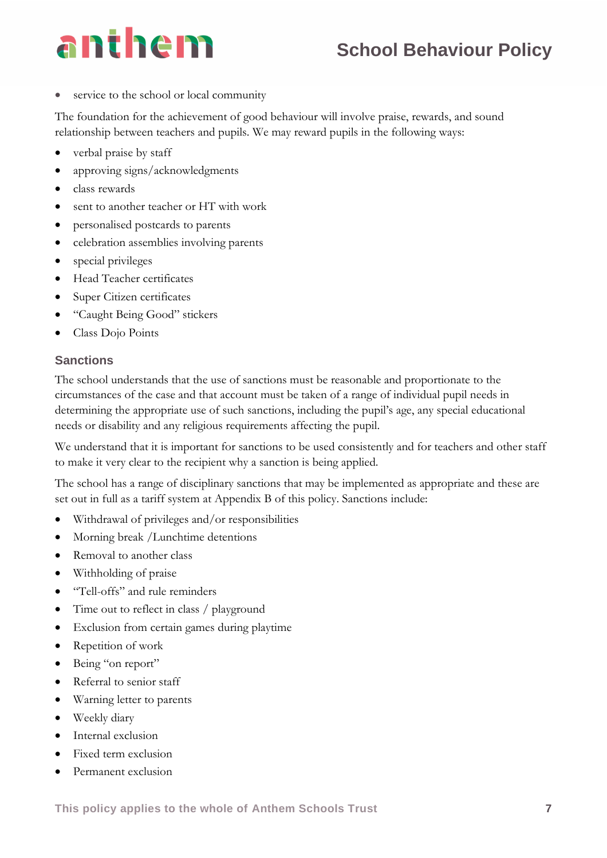service to the school or local community

The foundation for the achievement of good behaviour will involve praise, rewards, and sound relationship between teachers and pupils. We may reward pupils in the following ways:

- verbal praise by staff
- approving signs/acknowledgments
- class rewards
- sent to another teacher or HT with work
- personalised postcards to parents
- celebration assemblies involving parents
- special privileges
- Head Teacher certificates
- Super Citizen certificates
- "Caught Being Good" stickers
- Class Dojo Points

#### **Sanctions**

The school understands that the use of sanctions must be reasonable and proportionate to the circumstances of the case and that account must be taken of a range of individual pupil needs in determining the appropriate use of such sanctions, including the pupil's age, any special educational needs or disability and any religious requirements affecting the pupil.

We understand that it is important for sanctions to be used consistently and for teachers and other staff to make it very clear to the recipient why a sanction is being applied.

The school has a range of disciplinary sanctions that may be implemented as appropriate and these are set out in full as a tariff system at Appendix B of this policy. Sanctions include:

- Withdrawal of privileges and/or responsibilities
- Morning break / Lunchtime detentions
- Removal to another class
- Withholding of praise
- "Tell-offs" and rule reminders
- Time out to reflect in class / playground
- Exclusion from certain games during playtime
- Repetition of work
- Being "on report"
- Referral to senior staff
- Warning letter to parents
- Weekly diary
- Internal exclusion
- Fixed term exclusion
- Permanent exclusion

**This policy applies to the whole of Anthem Schools Trust 7**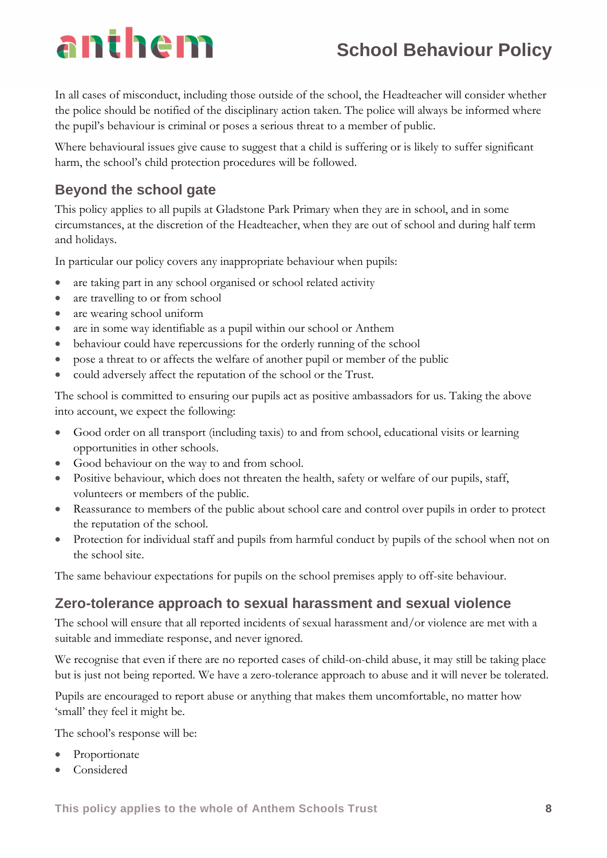## **School Behaviour Policy**

In all cases of misconduct, including those outside of the school, the Headteacher will consider whether the police should be notified of the disciplinary action taken. The police will always be informed where the pupil's behaviour is criminal or poses a serious threat to a member of public.

Where behavioural issues give cause to suggest that a child is suffering or is likely to suffer significant harm, the school's child protection procedures will be followed.

## **Beyond the school gate**

This policy applies to all pupils at Gladstone Park Primary when they are in school, and in some circumstances, at the discretion of the Headteacher, when they are out of school and during half term and holidays.

In particular our policy covers any inappropriate behaviour when pupils:

- are taking part in any school organised or school related activity
- are travelling to or from school
- are wearing school uniform
- are in some way identifiable as a pupil within our school or Anthem
- behaviour could have repercussions for the orderly running of the school
- pose a threat to or affects the welfare of another pupil or member of the public
- could adversely affect the reputation of the school or the Trust.

The school is committed to ensuring our pupils act as positive ambassadors for us. Taking the above into account, we expect the following:

- Good order on all transport (including taxis) to and from school, educational visits or learning opportunities in other schools.
- Good behaviour on the way to and from school.
- Positive behaviour, which does not threaten the health, safety or welfare of our pupils, staff, volunteers or members of the public.
- Reassurance to members of the public about school care and control over pupils in order to protect the reputation of the school.
- Protection for individual staff and pupils from harmful conduct by pupils of the school when not on the school site.

The same behaviour expectations for pupils on the school premises apply to off-site behaviour.

## **Zero-tolerance approach to sexual harassment and sexual violence**

The school will ensure that all reported incidents of sexual harassment and/or violence are met with a suitable and immediate response, and never ignored.

We recognise that even if there are no reported cases of child-on-child abuse, it may still be taking place but is just not being reported. We have a zero-tolerance approach to abuse and it will never be tolerated.

Pupils are encouraged to report abuse or anything that makes them uncomfortable, no matter how 'small' they feel it might be.

The school's response will be:

- **Proportionate**
- **Considered**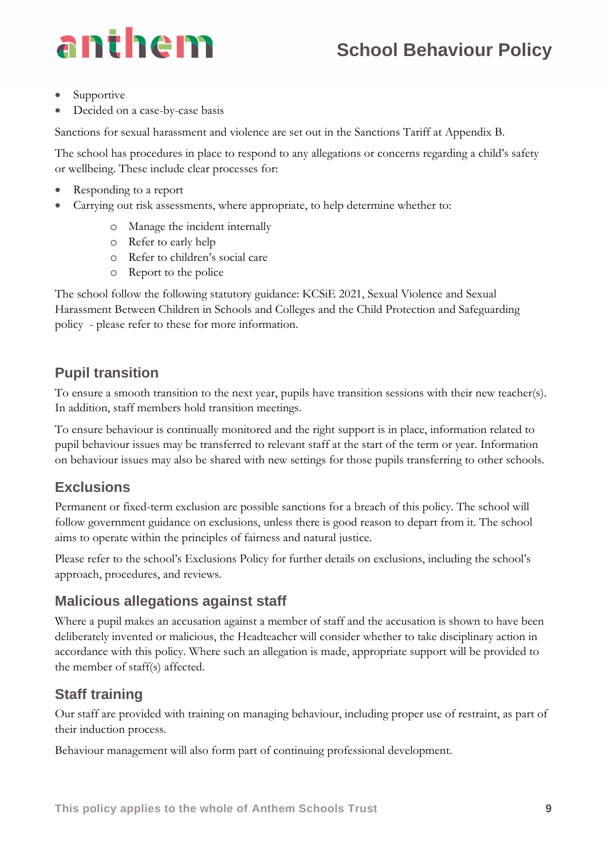# anthem

- **Supportive**
- Decided on a case-by-case basis

Sanctions for sexual harassment and violence are set out in the Sanctions Tariff at Appendix B.

The school has procedures in place to respond to any allegations or concerns regarding a child's safety or wellbeing. These include clear processes for:

- Responding to a report
- Carrying out risk assessments, where appropriate, to help determine whether to:
	- o Manage the incident internally
	- o Refer to early help
	- o Refer to children's social care
	- o Report to the police

The school follow the following statutory guidance: KCSiE 2021, Sexual Violence and Sexual Harassment Between Children in Schools and Colleges and the Child Protection and Safeguarding policy - please refer to these for more information.

## **Pupil transition**

To ensure a smooth transition to the next year, pupils have transition sessions with their new teacher(s). In addition, staff members hold transition meetings.

To ensure behaviour is continually monitored and the right support is in place, information related to pupil behaviour issues may be transferred to relevant staff at the start of the term or year. Information on behaviour issues may also be shared with new settings for those pupils transferring to other schools.

## **Exclusions**

Permanent or fixed-term exclusion are possible sanctions for a breach of this policy. The school will follow government guidance on exclusions, unless there is good reason to depart from it. The school aims to operate within the principles of fairness and natural justice.

Please refer to the school's Exclusions Policy for further details on exclusions, including the school's approach, procedures, and reviews.

## **Malicious allegations against staff**

Where a pupil makes an accusation against a member of staff and the accusation is shown to have been deliberately invented or malicious, the Headteacher will consider whether to take disciplinary action in accordance with this policy. Where such an allegation is made, appropriate support will be provided to the member of staff(s) affected.

## **Staff training**

Our staff are provided with training on managing behaviour, including proper use of restraint, as part of their induction process.

Behaviour management will also form part of continuing professional development.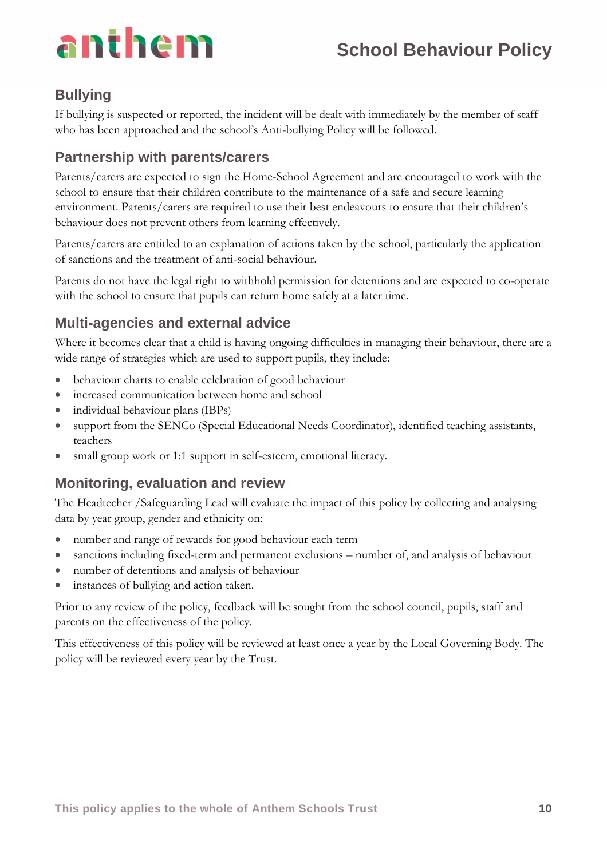## **Bullying**

If bullying is suspected or reported, the incident will be dealt with immediately by the member of staff who has been approached and the school's Anti-bullying Policy will be followed.

## **Partnership with parents/carers**

Parents/carers are expected to sign the Home-School Agreement and are encouraged to work with the school to ensure that their children contribute to the maintenance of a safe and secure learning environment. Parents/carers are required to use their best endeavours to ensure that their children's behaviour does not prevent others from learning effectively.

Parents/carers are entitled to an explanation of actions taken by the school, particularly the application of sanctions and the treatment of anti-social behaviour.

Parents do not have the legal right to withhold permission for detentions and are expected to co-operate with the school to ensure that pupils can return home safely at a later time.

## **Multi-agencies and external advice**

Where it becomes clear that a child is having ongoing difficulties in managing their behaviour, there are a wide range of strategies which are used to support pupils, they include:

- behaviour charts to enable celebration of good behaviour
- increased communication between home and school
- individual behaviour plans (IBPs)
- support from the SENCo (Special Educational Needs Coordinator), identified teaching assistants, teachers
- small group work or 1:1 support in self-esteem, emotional literacy.

## **Monitoring, evaluation and review**

The Headtecher /Safeguarding Lead will evaluate the impact of this policy by collecting and analysing data by year group, gender and ethnicity on:

- number and range of rewards for good behaviour each term
- sanctions including fixed-term and permanent exclusions number of, and analysis of behaviour
- number of detentions and analysis of behaviour
- instances of bullying and action taken.

Prior to any review of the policy, feedback will be sought from the school council, pupils, staff and parents on the effectiveness of the policy.

This effectiveness of this policy will be reviewed at least once a year by the Local Governing Body. The policy will be reviewed every year by the Trust.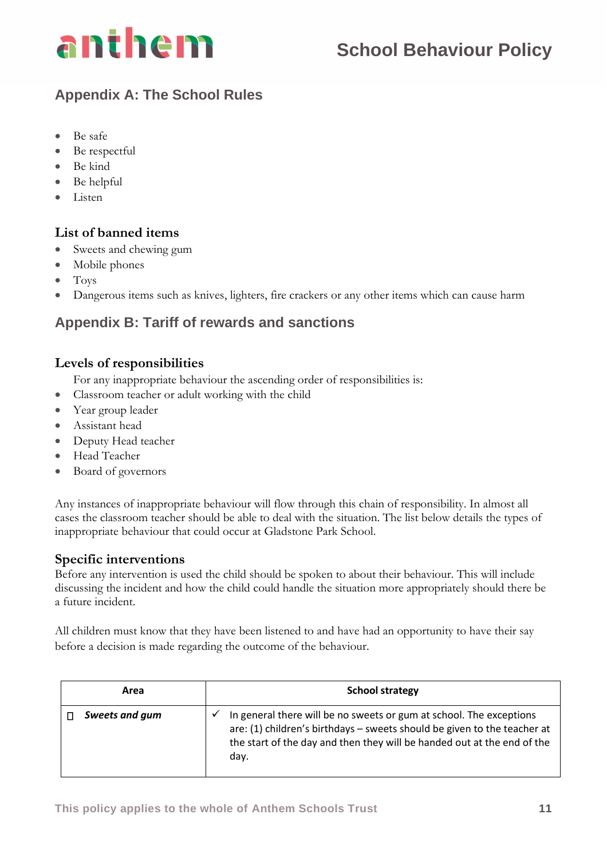

## **Appendix A: The School Rules**

- Be safe
- Be respectful
- Be kind
- Be helpful
- Listen

#### **List of banned items**

- Sweets and chewing gum
- Mobile phones
- Toys
- Dangerous items such as knives, lighters, fire crackers or any other items which can cause harm

## **Appendix B: Tariff of rewards and sanctions**

### **Levels of responsibilities**

For any inappropriate behaviour the ascending order of responsibilities is:

- Classroom teacher or adult working with the child
- Year group leader
- Assistant head
- Deputy Head teacher
- Head Teacher
- Board of governors

Any instances of inappropriate behaviour will flow through this chain of responsibility. In almost all cases the classroom teacher should be able to deal with the situation. The list below details the types of inappropriate behaviour that could occur at Gladstone Park School.

### **Specific interventions**

Before any intervention is used the child should be spoken to about their behaviour. This will include discussing the incident and how the child could handle the situation more appropriately should there be a future incident.

All children must know that they have been listened to and have had an opportunity to have their say before a decision is made regarding the outcome of the behaviour.

| Area           | <b>School strategy</b>                                                                                                                                                                                                                             |  |
|----------------|----------------------------------------------------------------------------------------------------------------------------------------------------------------------------------------------------------------------------------------------------|--|
| Sweets and gum | In general there will be no sweets or gum at school. The exceptions<br>$\checkmark$<br>are: (1) children's birthdays - sweets should be given to the teacher at<br>the start of the day and then they will be handed out at the end of the<br>day. |  |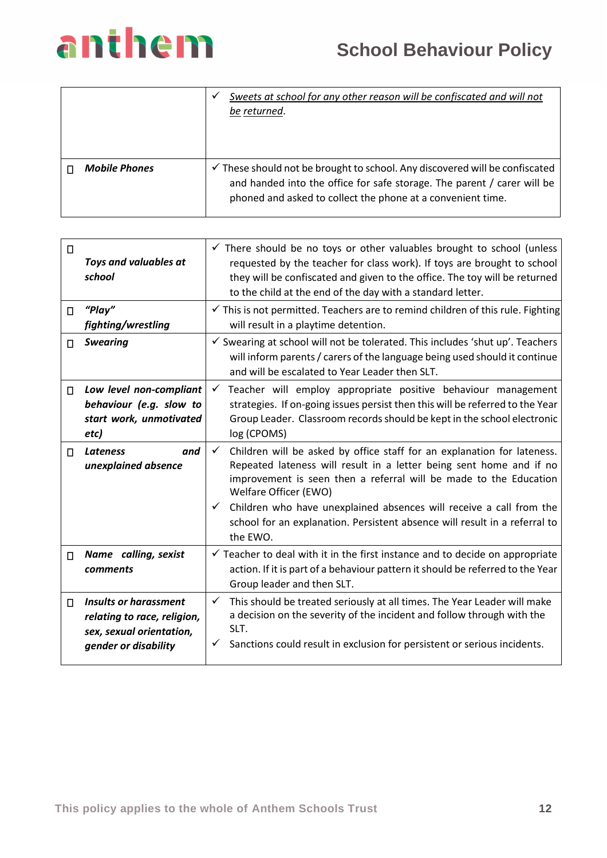|                      | Sweets at school for any other reason will be confiscated and will not<br>be returned.                                                                                                                                           |
|----------------------|----------------------------------------------------------------------------------------------------------------------------------------------------------------------------------------------------------------------------------|
| <b>Mobile Phones</b> | $\checkmark$ These should not be brought to school. Any discovered will be confiscated<br>and handed into the office for safe storage. The parent / carer will be<br>phoned and asked to collect the phone at a convenient time. |

| $\Box$ | Toys and valuables at<br>school                                                                                 | $\checkmark$ There should be no toys or other valuables brought to school (unless<br>requested by the teacher for class work). If toys are brought to school<br>they will be confiscated and given to the office. The toy will be returned<br>to the child at the end of the day with a standard letter.                                                                                                                                      |
|--------|-----------------------------------------------------------------------------------------------------------------|-----------------------------------------------------------------------------------------------------------------------------------------------------------------------------------------------------------------------------------------------------------------------------------------------------------------------------------------------------------------------------------------------------------------------------------------------|
| П      | " $Play"$<br>fighting/wrestling                                                                                 | $\checkmark$ This is not permitted. Teachers are to remind children of this rule. Fighting<br>will result in a playtime detention.                                                                                                                                                                                                                                                                                                            |
| П      | <b>Swearing</b>                                                                                                 | $\checkmark$ Swearing at school will not be tolerated. This includes 'shut up'. Teachers<br>will inform parents / carers of the language being used should it continue<br>and will be escalated to Year Leader then SLT.                                                                                                                                                                                                                      |
| $\Box$ | Low level non-compliant<br>behaviour (e.g. slow to<br>start work, unmotivated<br>etc)                           | Teacher will employ appropriate positive behaviour management<br>✓<br>strategies. If on-going issues persist then this will be referred to the Year<br>Group Leader. Classroom records should be kept in the school electronic<br>log (CPOMS)                                                                                                                                                                                                 |
| П.     | <b>Lateness</b><br>and<br>unexplained absence                                                                   | Children will be asked by office staff for an explanation for lateness.<br>$\checkmark$<br>Repeated lateness will result in a letter being sent home and if no<br>improvement is seen then a referral will be made to the Education<br>Welfare Officer (EWO)<br>Children who have unexplained absences will receive a call from the<br>$\checkmark$<br>school for an explanation. Persistent absence will result in a referral to<br>the EWO. |
| $\Box$ | Name calling, sexist<br>comments                                                                                | $\checkmark$ Teacher to deal with it in the first instance and to decide on appropriate<br>action. If it is part of a behaviour pattern it should be referred to the Year<br>Group leader and then SLT.                                                                                                                                                                                                                                       |
| П      | <b>Insults or harassment</b><br>relating to race, religion,<br>sex, sexual orientation,<br>gender or disability | This should be treated seriously at all times. The Year Leader will make<br>$\checkmark$<br>a decision on the severity of the incident and follow through with the<br>SLT.<br>Sanctions could result in exclusion for persistent or serious incidents.<br>✓                                                                                                                                                                                   |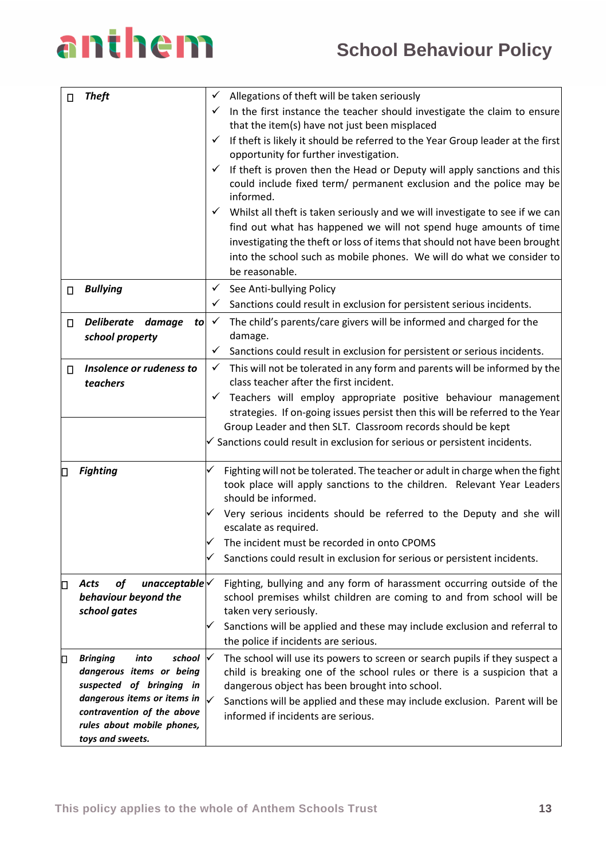

| <b>Theft</b><br>П |                                                                                                                                                                                                          | ✓<br>$\checkmark$<br>✓ | Allegations of theft will be taken seriously<br>In the first instance the teacher should investigate the claim to ensure<br>that the item(s) have not just been misplaced<br>$\checkmark$ If theft is likely it should be referred to the Year Group leader at the first<br>opportunity for further investigation.<br>If theft is proven then the Head or Deputy will apply sanctions and this<br>could include fixed term/ permanent exclusion and the police may be<br>informed. |
|-------------------|----------------------------------------------------------------------------------------------------------------------------------------------------------------------------------------------------------|------------------------|------------------------------------------------------------------------------------------------------------------------------------------------------------------------------------------------------------------------------------------------------------------------------------------------------------------------------------------------------------------------------------------------------------------------------------------------------------------------------------|
|                   |                                                                                                                                                                                                          | $\checkmark$           | Whilst all theft is taken seriously and we will investigate to see if we can<br>find out what has happened we will not spend huge amounts of time<br>investigating the theft or loss of items that should not have been brought<br>into the school such as mobile phones. We will do what we consider to<br>be reasonable.                                                                                                                                                         |
| П                 | <b>Bullying</b>                                                                                                                                                                                          | ✓                      | See Anti-bullying Policy                                                                                                                                                                                                                                                                                                                                                                                                                                                           |
| П                 | Deliberate damage<br>to<br>school property                                                                                                                                                               | ✓<br>$\checkmark$      | Sanctions could result in exclusion for persistent serious incidents.<br>The child's parents/care givers will be informed and charged for the<br>damage.                                                                                                                                                                                                                                                                                                                           |
|                   | Insolence or rudeness to                                                                                                                                                                                 | ✓<br>$\checkmark$      | Sanctions could result in exclusion for persistent or serious incidents.                                                                                                                                                                                                                                                                                                                                                                                                           |
| П                 | teachers                                                                                                                                                                                                 |                        | This will not be tolerated in any form and parents will be informed by the<br>class teacher after the first incident.                                                                                                                                                                                                                                                                                                                                                              |
|                   |                                                                                                                                                                                                          | $\checkmark$           | Teachers will employ appropriate positive behaviour management<br>strategies. If on-going issues persist then this will be referred to the Year                                                                                                                                                                                                                                                                                                                                    |
|                   |                                                                                                                                                                                                          |                        | Group Leader and then SLT. Classroom records should be kept<br>$\checkmark$ Sanctions could result in exclusion for serious or persistent incidents.                                                                                                                                                                                                                                                                                                                               |
| IП                | <b>Fighting</b>                                                                                                                                                                                          | ✓                      | Fighting will not be tolerated. The teacher or adult in charge when the fight<br>took place will apply sanctions to the children. Relevant Year Leaders<br>should be informed.                                                                                                                                                                                                                                                                                                     |
|                   |                                                                                                                                                                                                          |                        | Very serious incidents should be referred to the Deputy and she will<br>escalate as required.                                                                                                                                                                                                                                                                                                                                                                                      |
|                   |                                                                                                                                                                                                          |                        | The incident must be recorded in onto CPOMS                                                                                                                                                                                                                                                                                                                                                                                                                                        |
|                   |                                                                                                                                                                                                          | ✓                      | Sanctions could result in exclusion for serious or persistent incidents.                                                                                                                                                                                                                                                                                                                                                                                                           |
| О                 | $unacceptable$ $\checkmark$<br><b>of</b><br><b>Acts</b><br>behaviour beyond the<br>school gates                                                                                                          | ✓                      | Fighting, bullying and any form of harassment occurring outside of the<br>school premises whilst children are coming to and from school will be<br>taken very seriously.<br>Sanctions will be applied and these may include exclusion and referral to<br>the police if incidents are serious.                                                                                                                                                                                      |
| О                 | school<br><b>Bringing</b><br>into<br>dangerous items or being<br>suspected of bringing in<br>dangerous items or items in<br>contravention of the above<br>rules about mobile phones,<br>toys and sweets. | ∀<br>✓                 | The school will use its powers to screen or search pupils if they suspect a<br>child is breaking one of the school rules or there is a suspicion that a<br>dangerous object has been brought into school.<br>Sanctions will be applied and these may include exclusion. Parent will be<br>informed if incidents are serious.                                                                                                                                                       |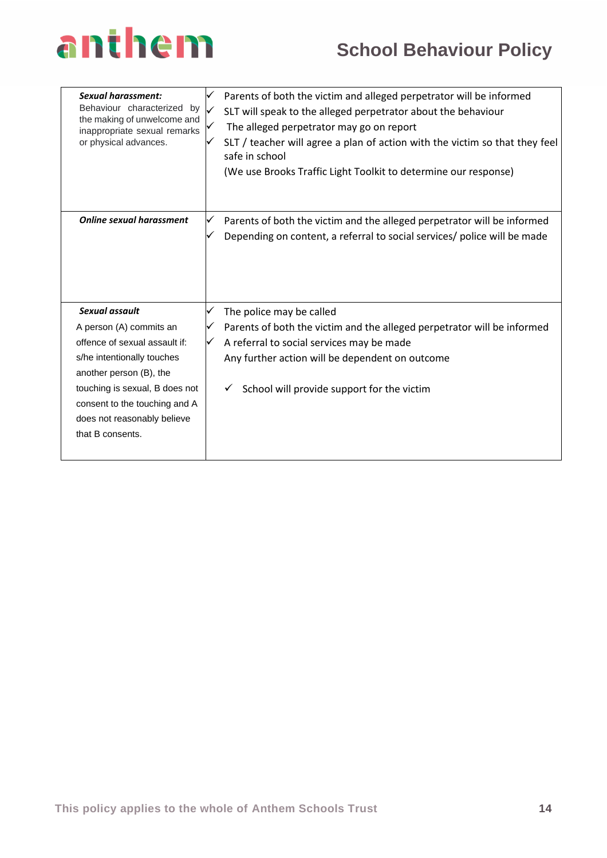## **School Behaviour Policy**

| Sexual harassment:<br>Behaviour characterized<br>by<br>the making of unwelcome and<br>inappropriate sexual remarks<br>or physical advances. | ✓<br>V | Parents of both the victim and alleged perpetrator will be informed<br>SLT will speak to the alleged perpetrator about the behaviour<br>The alleged perpetrator may go on report<br>SLT / teacher will agree a plan of action with the victim so that they feel<br>safe in school<br>(We use Brooks Traffic Light Toolkit to determine our response) |
|---------------------------------------------------------------------------------------------------------------------------------------------|--------|------------------------------------------------------------------------------------------------------------------------------------------------------------------------------------------------------------------------------------------------------------------------------------------------------------------------------------------------------|
| <b>Online sexual harassment</b>                                                                                                             | ✓      | Parents of both the victim and the alleged perpetrator will be informed<br>Depending on content, a referral to social services/ police will be made                                                                                                                                                                                                  |
| Sexual assault                                                                                                                              | ✓      | The police may be called                                                                                                                                                                                                                                                                                                                             |
| A person (A) commits an                                                                                                                     | ✓      | Parents of both the victim and the alleged perpetrator will be informed                                                                                                                                                                                                                                                                              |
| offence of sexual assault if:                                                                                                               | ✓      | A referral to social services may be made                                                                                                                                                                                                                                                                                                            |
| s/he intentionally touches                                                                                                                  |        | Any further action will be dependent on outcome                                                                                                                                                                                                                                                                                                      |
| another person (B), the                                                                                                                     |        |                                                                                                                                                                                                                                                                                                                                                      |
| touching is sexual, B does not                                                                                                              |        | School will provide support for the victim                                                                                                                                                                                                                                                                                                           |
| consent to the touching and A                                                                                                               |        |                                                                                                                                                                                                                                                                                                                                                      |
| does not reasonably believe                                                                                                                 |        |                                                                                                                                                                                                                                                                                                                                                      |
| that B consents.                                                                                                                            |        |                                                                                                                                                                                                                                                                                                                                                      |
|                                                                                                                                             |        |                                                                                                                                                                                                                                                                                                                                                      |